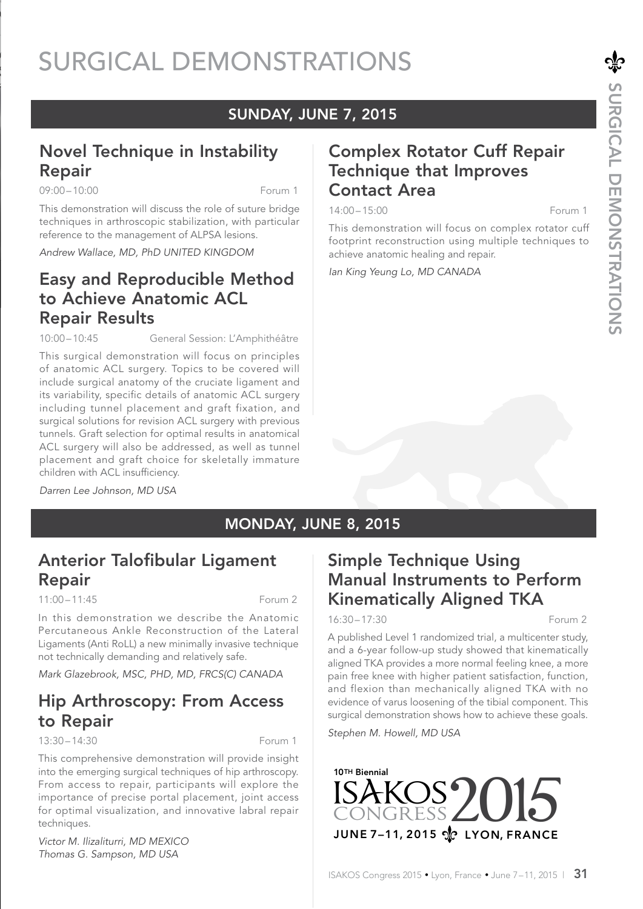# SURGICAL DEMONSTRATIONS

### SUNDAY, JUNE 7, 2015

### Novel Technique in Instability Repair

09:00 – 10:00 Forum 1

This demonstration will discuss the role of suture bridge techniques in arthroscopic stabilization, with particular reference to the management of ALPSA lesions.

*Andrew Wallace, MD, PhD UNITED KINGDOM*

### Easy and Reproducible Method to Achieve Anatomic ACL Repair Results

10:00 – 10:45 General Session: L'Amphithéâtre

This surgical demonstration will focus on principles of anatomic ACL surgery. Topics to be covered will include surgical anatomy of the cruciate ligament and its variability, specific details of anatomic ACL surgery including tunnel placement and graft fixation, and surgical solutions for revision ACL surgery with previous tunnels. Graft selection for optimal results in anatomical ACL surgery will also be addressed, as well as tunnel placement and graft choice for skeletally immature children with ACL insufficiency.

*Darren Lee Johnson, MD USA*

### Complex Rotator Cuff Repair Technique that Improves Contact Area

14:00 – 15:00 Forum 1

This demonstration will focus on complex rotator cuff footprint reconstruction using multiple techniques to achieve anatomic healing and repair.

*Ian King Yeung Lo, MD CANADA*

### MONDAY, JUNE 8, 2015

### Anterior Talofibular Ligament Repair

11:00 – 11:45 Forum 2

In this demonstration we describe the Anatomic Percutaneous Ankle Reconstruction of the Lateral Ligaments (Anti RoLL) a new minimally invasive technique not technically demanding and relatively safe.

*Mark Glazebrook, MSC, PHD, MD, FRCS(C) CANADA*

### Hip Arthroscopy: From Access to Repair

13:30 – 14:30 Forum 1

This comprehensive demonstration will provide insight into the emerging surgical techniques of hip arthroscopy. From access to repair, participants will explore the importance of precise portal placement, joint access for optimal visualization, and innovative labral repair techniques.

*Victor M. Ilizaliturri, MD MEXICO Thomas G. Sampson, MD USA*

### Simple Technique Using Manual Instruments to Perform Kinematically Aligned TKA

### 16:30 – 17:30 Forum 2

A published Level 1 randomized trial, a multicenter study, and a 6-year follow-up study showed that kinematically aligned TKA provides a more normal feeling knee, a more pain free knee with higher patient satisfaction, function, and flexion than mechanically aligned TKA with no evidence of varus loosening of the tibial component. This surgical demonstration shows how to achieve these goals.

*Stephen M. Howell, MD USA*